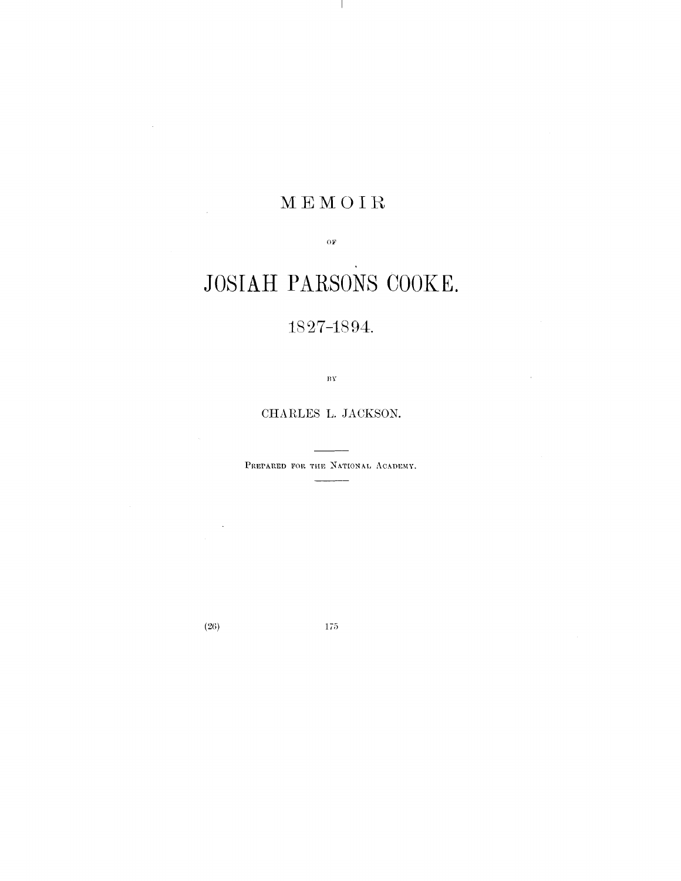## MEMOIR

 $O\bar{F}$ 

# JOSIAH PARSONS COOKE.

## Q97 *i*

 $\overline{\mathbf{B}}\overline{\mathbf{Y}}$ 

CHARLES L. JACKSON.

PREPARED FOR THE NATIONAL ACADEMY.

(26) 175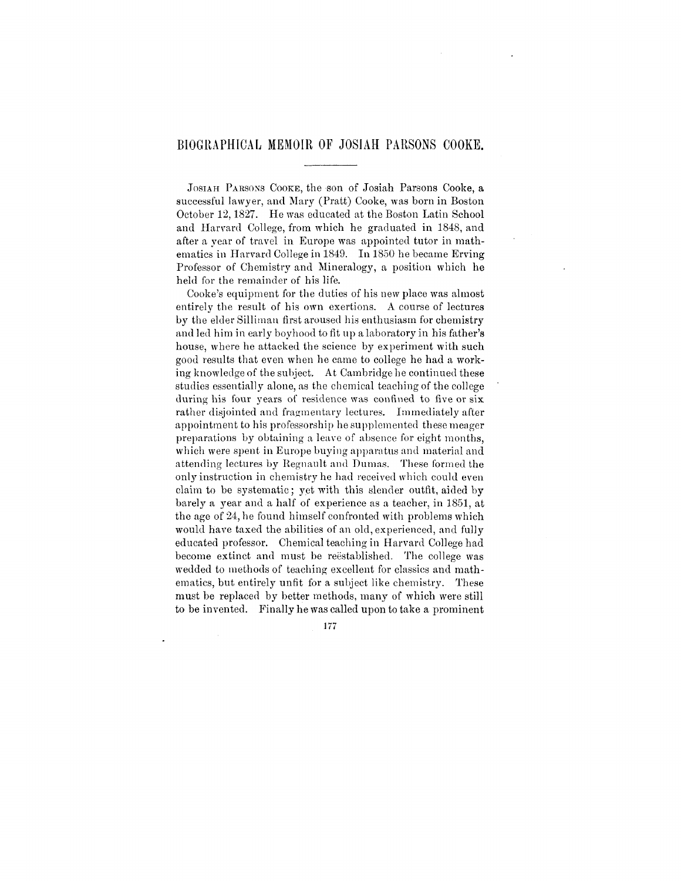### BIOGRAPHICAL MEMOIR OF JOSIAH PARSONS COOKE.

JOSIAH PARSONS COOKE, the son of Josiah Parsons Cooke, a successful lawyer, and Mary (Pratt) Cooke, was born in Boston October 12,1827. He was educated at the Boston Latin School and Harvard College, from which he graduated in 1848, and after a year of travel in Europe was appointed tutor in mathematics in Harvard College in 1849. In 1850 he became Erving Professor of Chemistry and Mineralogy, a position which he held for the remainder of his life.

Cooke's equipment for the duties of his new place was almost entirely the result of his own exertions. A course of lectures by the elder Silliman first aroused his enthusiasm for chemistry and led him in early boyhood to fit up a laboratory in his father's house, where he attacked the science by experiment with such good results that even when he came to college he had a working knowledge of the subject. At Cambridge he continued these studies essentially alone, as the chemical teaching of the college during his four vears of residence was confined to five or six rather disjointed and fragmentary lectures. Immediately after appointment to his professorship he supplemented these meager preparations by obtaining a leave of absence for eight months, which were spent in Europe buying apparatus and material and attending lectures by Regnault and Dumas. These formed the only instruction in chemistry he had received which could even claim to be systematic; yet with this slender outfit, aided by barely a year and a half of experience as a teacher, in 1851, at the age of 24, he found himself confronted with problems which would have taxed the abilities of an old, experienced, and fully educated professor. Chemical teaching in Harvard College had become extinct and must be reestablished. The college was wedded to methods of teaching excellent for classics and mathematics, but entirely unfit for a subject like chemistry. These must be replaced by better methods, many of which were still to be invented. Finally he was called upon to take a prominent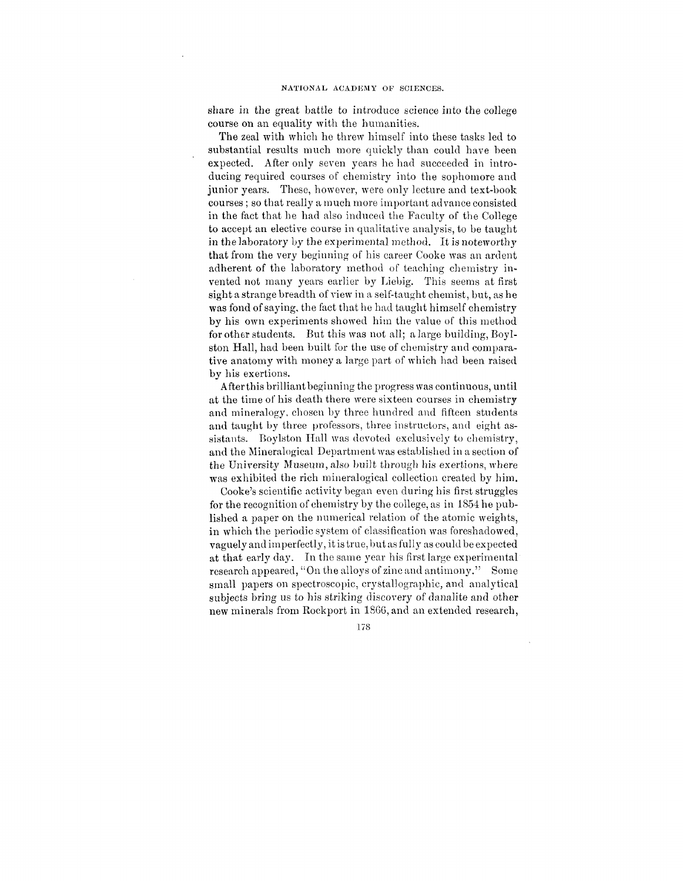share in the great battle to introduce science into the college course on an equality with the humanities.

The zeal with which he threw himself into these tasks led to substantial results much more quickly than could have been expected. After only seven years he had succeeded in introducing required courses of chemistry into the sophomore and junior years. These, however, were only lecture and text-book courses ; so that really a much more important advance consisted in the fact that he had also induced the Faculty of the College to accept an elective course in qualitative analysis, to be taught in the laboratory by the experimental method. It is noteworthy that from the very beginning of his career Cooke was an ardent adherent of the laboratory method of teaching chemistry invented not many years earlier by Liebig. This seems at first sight a strange breadth of view in a self-taught chemist, but, as he was fond of saying, the fact that he had taught himself chemistry by his own experiments showed him the value of this method for other students. But this was not all; a large building, Boylston Hall, had been built for the use of chemistry and comparative anatomy with money a large part of which had been raised by his exertions.

Afterthis brilliant beginning the progress was continuous, until at the time of his death there were sixteen courses in chemistry and mineralogy, chosen by three hundred and fifteen students and taught by three professors, three instructors, and eight assistants. Boylston Hall was devoted exclusively to chemistry, and the Mineralogical Department was established in a section of the University Museum, also built through his exertions, where was exhibited the rich mineralogical collection created by him.

Cooke's scientific activity began even during his first struggles for the recognition of chemistry by the college, as in 1854 he published a paper on the numerical relation of the atomic weights, in which the periodic system of classification was foreshadowed, vaguely and imperfectly, it is true, but as fully as could be expected at that early day. In the same year his first large experimental research appeared, "On the alloys of zinc and antimony." Some small papers on spectroscopic, crystallographic, and analytical subjects bring us to his striking discovery of danalite and other new minerals from Rockport in 1866, and an extended research,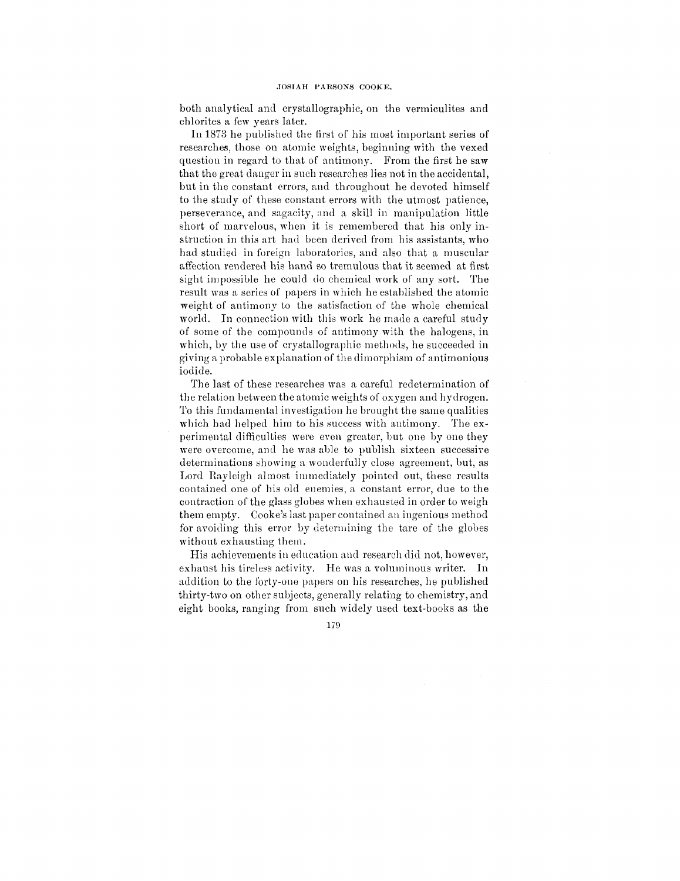both analytical and crystallographic, on the vermiculites and chlorites a few years later.

In 1873 he published the first of his most important series of researches, those on atomic weights, beginning with the vexed question in regard to that of antimony. From the first he saw that the great danger in such researches lies not in the accidental, but in the constant errors, and throughout he devoted himself to the study of these constant errors with the utmost patience, perseverance, and sagacity, and a skill in manipulation little short of marvelous, when it is remembered that his only instruction in this art had been derived from his assistants, who had studied in foreign laboratories, and also that a muscular affection rendered his hand so tremulous that it seemed at first sight impossible he could do chemical work of any sort. The result was a series of papers in which he established the atomic weight of antimony to the satisfaction of the whole chemical world. In connection with this work he made a careful study of some of the compounds of antimony with the halogens, in which, by the use of crystallographic methods, he succeeded in giving a probable explanation of the dimorphism of antimonious iodide.

The last of these researches was a careful redetermination of the relation between the atomic weights of oxygen and hydrogen. To this fundamental investigation he brought the same qualities which had helped him to his success with antimony. The experimental difficulties were even greater, but one by one they were overcome, and he was able to publish sixteen successive determinations showing a wonderfully close agreement, but, as Lord Eayleigh almost immediately pointed out, these results contained one of his old enemies, a constant error, due to the contraction of the glass globes when exhausted in order to weigh them empty. Cooke's last paper contained an ingenious method for avoiding this error by determining the tare of the globes without exhausting them.

His achievements in education and research did not, however, exhaust his tireless activity. He was a voluminous writer. In addition to the forty-one papers on his researches, he published thirty-two on other subjects, generally relating to chemistry, and eight books, ranging from such widely used text-books as the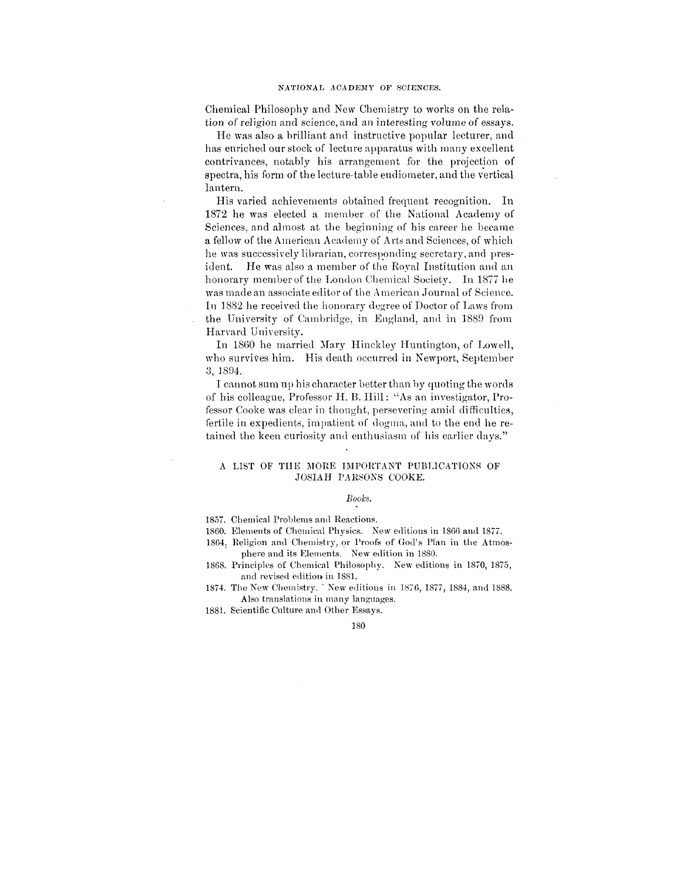#### NATIONAL ACADEMY OF SCIENCES.

Chemical Philosophy and New Chemistry to works on the relation of religion and science, and an interesting volume of essays.

He was also a brilliant and instructive popular lecturer, and has enriched our stock of lecture apparatus with many excellent contrivances, notably his arrangement for the projection of spectra, his form of the lecture-table eudiometer, and the vertical lantern.

His varied achievements obtained frequent recognition. In 1872 he was elected a member of the National Academy of Sciences, and almost at the beginning of his career he became a fellow of the American Academy of Arts and Sciences, of which he was successively librarian, corresponding secretary, and president. He was also a member of the Royal Institution and an honorary member of the London Chemical Society. In 1877 he was made an associate editor of the American Journal of Science. In 1882 he received the honorary degree of Doctor of Laws from the University of Cambridge, in England, and in 1889 from Harvard University.

In 1860 he married Mary Hinckley Huntington, of Lowell, who survives him. His death occurred in Newport, September 3, 1894.

I cannot sum up his character better than by quoting the words of his colleague, Professor H. B. Hill: "As an investigator, Professor Cooke was clear in thought, persevering amid difficulties, fertile in expedients, impatient of dogma, and to the end he retained the keen curiosity and enthusiasm of his earlier days."

#### A LIST OF THE MORE IMPORTANT PUBLICATIONS OF JOSIAH PARSONS COOKE.

#### *Books.*

- 1857. Chemical Problems and Reactions.
- 1860. Elements of Chemical Physics. New editions in 1866 and 1877.
- 1864. Religion and Chemistry, or Proofs of God's Plan in the Atmosphere and its Elements. New edition in 1880.
- 1868. Principles of Chemical Philosophy. New editions in 1870, 1875, and revised edition in 1881.
- 1874. The New Chemistry. " New editions in 1876, 1877, 1884, and 1888. Also translations in many languages.
- 1881. Scientific Culture and Other Essays.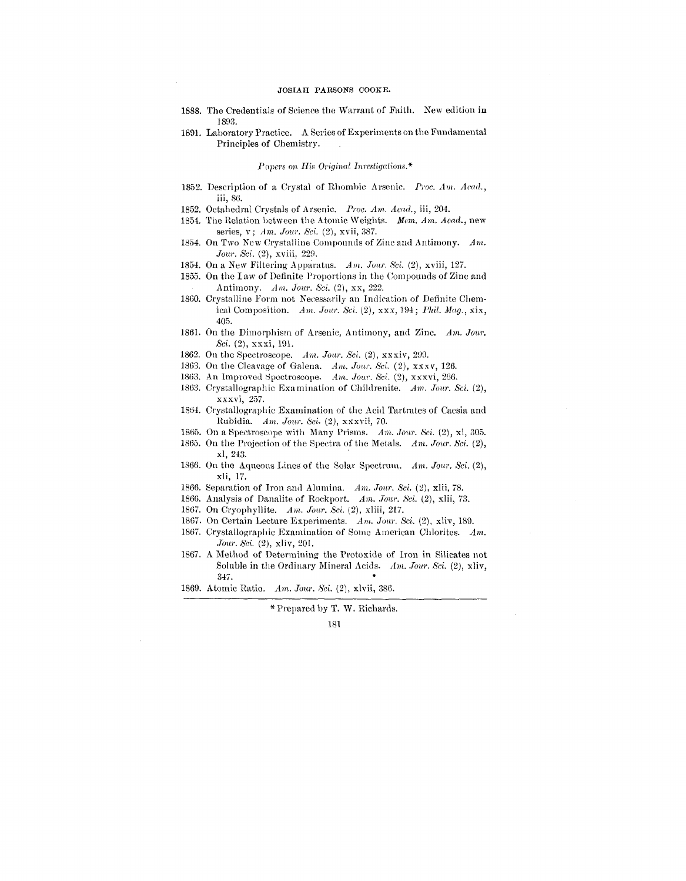#### JOSIAH PAESONS COOKE.

- 1888. The Credentials of Science the Warrant of Faith. New edition in 1893.
- 1891. Laboratory Practice. A Series of Experiments on the Fundamental Principles of Chemistry.

#### *Papers on His Original Investigations.\**

- 1852. Description of a Crystal of Rhombic Arsenic. *Proc. Am. /lead.,* iii, 86.
- 1852. Octahedral Crystals of Arsenic. *Proc. Am. Acad.,* iii, 204.
- 1854. The Relation between the Atomic Weights. *Mem. Am. Acad.,* new series, v; *Am. Jour. Sci.* (2), xvii, 387.
- 1854. On Two New Crystalline Compounds of Zinc and Antimony. *Am. Jour. Sci.* (2), xviii, 229.
- 1854. On a New Filtering Apparatus. Am. Jour. Sci. (2), xviii, 127.
- 1855. On the law of Definite Proportions in the Compounds of Zinc and Antimony. *Am. Jour. Sci.* (2), xx, 222.
- 1860. Crystalline Form not Necessarily an Indication of Definite Chemical Composition. *Am. Jour. Sci.* (2), xxx, 194; *Phil. Mag.,* xix, 405.
- 1861. On the Dimorphism of Arsenic, Antimony, and Zinc. *Am. Jour. Sci.* (2), xxxi, 191.
- 1862. On the Spectroscope. *Am. Jour. Sci.* (2), xxxiv, 299.
- 1863. On the Cleavage of Galena. *Am. Jour. Sci.* (2), xxxv, 126.
- 1863. An Improved Spectroscope. *Am. Jour. Sci.* (2), xxxvi, 266.
- 1863. Crystallographic Examination of Childrenite. *Am. Jour. Sci.* (2), xxxvi, 257.
- 1864. Crystallographic Examination of the Acid Tartrates of Caesia and Rubidia. *Am. Jour. Sci.* (2), xxxvii, 70.
- 1865. On a Spectroscope with Many Prisms. *Am. Jour. Sci.* (2), xl, 305.
- 1865. On the Projection of the Spectra of the Metals. *Am. Jour. Sci.* (2), xl, 243.
- 1866. On the Aqueous Lines of the Solar Spectrum. *Am. Jour. Sci.* (2), xli, 17.
- 1866. Separation of Iron and Alumina. *Am. Jour. Sci.* (2), xlii, 78.
- 1866. Analysis of Danalite of Rockport. *Am. Jour. Sci.* (2), xlii, 73.
- 1867. On Cryophyllite. *Am. Jour. Sci.* (2), xliii, 217.
- 1867. On Certain Lecture Experiments. *Am. Jour. Sci.* (2), xliv, 189.
- 1867. Crystallographic Examination of Some American Chlorites. *Am. Jour. Sci.* (2), xliv, 201.
- 1867. A Method of Determining the Protoxide of Iron in Silicates not Soluble in the Ordinary Mineral Acids. *Am. Jour. Sci. (2),* xliv, 347.
- 1869. Atomic Ratio. *Am. Jour. Sci.* (2), xlvii, 386.

\* Prepared by T. W. Richards.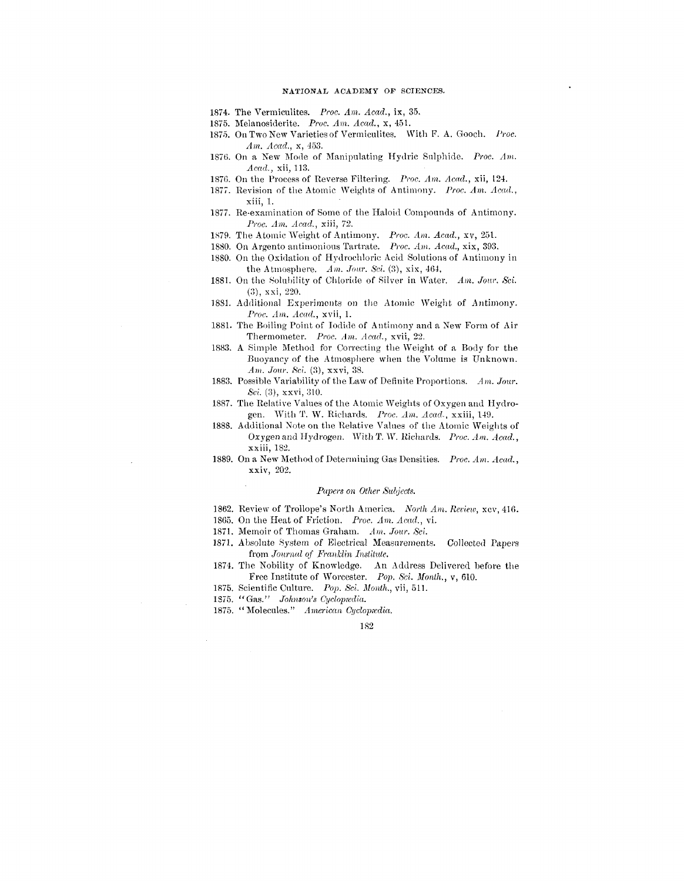#### NATIONAL ACADEMY OF SCIENCES.

- 1874. The Vermiculites. *Proc. Am. Acad.,* ix, 35.
- 1875. Melanosiderite. *Proc. Am. Acad.,* x, 451.
- 1875. On Two New Varieties of Vermiculites. With F. A. Gooch. *Proc. Am. Acad.,* x, 453.
- 1876. On a New Mode of Manipulating Hydric Sulphide. *Proc. Am. Acad.,* xii, 113.
- 1876. On the Process of Reverse Filtering. *Proc. Am. Acad.,* xii, 124.
- 1877. Revision of the Atomic Weights of Antimony. *Proc. Am. Acad.,* xiii, 1.
- 1877. Re-examination of Some of the Haloid Compounds of Antimony. *Proc. Am. Acad.,* xiii, 72.
- 1879. The Atomic Weight of Antimony. *Proc. Am. Acad.,* xv, 251.
- 1880. On Argento antimonious Tartrate. *Proc. Am. Acad.,* xix, 393.
- 1880. On the Oxidation of Hydrochloric Acid Solutions of Antimony in the Atmosphere.  $Am. Jour. Sci. (3), xix, 464,$
- 1881. On the Solubility of Chloride of Silver in Water. *Am. Jour. Sci.*  $(3)$ , xxi, 220.
- 1881. Additional Experiments on the Atomic Weight of Antimony. *Proc. Am. Acad.,* xvii, 1.
- 1881. The Boiling Point of Iodide of Antimony and a New Form of Air Thermometer. *Proc. Am. Acad.,* xvii, 22.
- 1883. A Simple Method for Correcting the Weight of a Body for the Buoyancy of the Atmosphere when the Volume is Unknown. *Am. Jour. Sci.* (3), xxvi, 38.
- 1883. Possible Variability of the Law of Definite Proportions. Am. Jour. *Sci.* (3), xxvi, 310.
- 1887. The Relative Values of the Atomic Weights of Oxygen and Hydrogen. With T. W. Richards. *Proc. Am. Acad.,* xxiii, 149.
- 1888. Additional Note on the Relative Values of the Atomic Weights of Oxygen and Hydrogen. WithT. W. Richards. *Proc. Am. Acad.,* xxiii, 182.
- 1889. On a New Method of Determining Gas Densities. *Proc. Am. Acad.,* xxiv, 202.

#### *Papers on Other Subjects.*

- 1862. Review of Trollope's North America. North Am. Review, xcv, 416.
- 1865. On the Heat of Friction. *Proc. Am. Acad.,* vi.
- 1871. Memoir of Thomas Graham. *Am. Jour. Sci.*
- 1871. Absolute System of Electrical Measurements. Collected Papers from *Journal of Franklin Institute.*
- 1874. The Nobility of Knowledge. An Address Delivered before the Free Institute of Worcester. *Pop. Sci. Month.,* v, 610.
- 1875. Scientific Culture. Pop. *Sci Month.,* vii, 511.
- 1875. "Gas." Johnson's Cyclopædia.
- 1875. "Molecules." *American Oyclopiedia.*